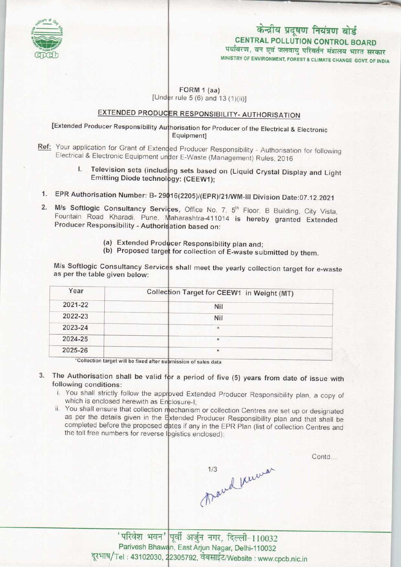

# MINISTRY OF ENVIRONMENT, FOREST S CLIMATE CHANGE GOVT. OF INDIA केन्द्रीय प्रदूषण नियंत्रण बोर्ड CENTRAL POLLUTION CONTROL BOARD<br>पर्यावरण, वन एवं जलवायु परिवर्तन मंत्रालय भारत सरकार

#### FORM 1 (aa) [Under rule 5 (6) and 13  $(1)(ii)$ ]

### EXTENDED PRODUCER RESPONSIBILITY- AUTHORISATION

# [Extended Producer Responsibility Authorisation for Producer of the Electrical & Electronic Equipment]

- Ref: Your application for Grant of Extended Producer Responsibility Authorisation for following Electrical & Electronic Equipment under E-Waste (Management) Rules, 2016
	- I. Television sets (including sets based on (Liquid Crystal Display and Light Emitting Diode technology: (CEEW1);
- Emitting Blode technology: (CEEWT);<br>1. EPR Authorisation Number: B- 29016(2205)/(EPR)/21/WM-III Division Date:07.12.2021
- 1. EPR Authorisation Number: B- 29016(2205)/(EPR)/21/WM-III Division Date:07.12.2021<br>2. M/s Softlogic Consultancy Services, Office No. 7, 5<sup>th</sup> Floor, B Building, City Vista Fountain Road Kharadi, Pune, Maharashtra-411014 is hereby granted Extended Producer Responsibility - Authorisation based on:
	- (a) Extended Producer Responsibility plan and;
	- (a) Exterided Producer Responsibility plan and;<br>(b) Proposed target for collection of E-waste submitted by them.

M/s Softlogic Consultancy Services shall meet the yearly collection target for e-waste as per the table given below:

| Year                                                                                     | Collection Target for CEEW1 in Weight (MT)                                                |
|------------------------------------------------------------------------------------------|-------------------------------------------------------------------------------------------|
| 2021-22                                                                                  | Nil                                                                                       |
| 2022-23                                                                                  | Nil                                                                                       |
| 2023-24                                                                                  | $\star$                                                                                   |
| 2024-25                                                                                  | $\star$                                                                                   |
| 2025-26                                                                                  | $\star$                                                                                   |
| all when the property of the contract of the contract of the contract of the contract of | the control of the control of the control of the control of the control of the control of |

'Collection target will be fixed after submission of sales data

- The Authorisation shall be valid for a period of five (5) years from date of issue with following conditions:
	- i. You shall strictly follow the approved Extended Producer Responsibility plan, a copy of which is enclosed herewith as Enclosure-I
	- ii. You shall ensure that collection mechanism or collection Centres are set up or designated as per the details given in the Extended Producer Responsibility plan and that shall be completed before the proposed dates if any in the EPR Plan (list of collection Centres and the toll free numbers for reverse logistics enclosed);

1/3 ravel knewar

Contd...

'परिवेश भवन' पूर्वी अर्जुन नगर, दिल्ली-110032 Parivesh Bhawan, East Arjun Nagar, Delhi-110032 दूरभाष/Tel: 43102030, 22305792, वेबसाईट/Website: www.cpcb.nic.in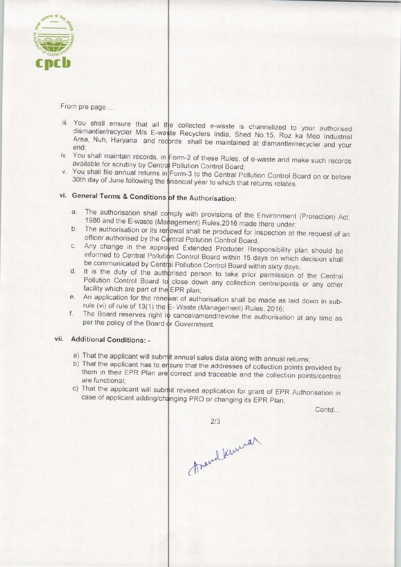

From pre page....

- iii. You shall ensure that all the collected e-waste is channelized to your authorised dismantler/recycler M/s E-waste Recyclers India, Shed No.15, Roz ka Meo Industrial Area, Nuh, Haryana and records shall be maintained at dismantler/recycler and your end;
- iv. You shall maintain records, in Form-2 of these Rules, of e-waste and make such records available for scrutiny by Central Pollution Control Board;
- v. You shall file annual returns in Form-3 to the Central Pollution Control Board on or before 30th day of June following the financial year to which that returns relates.

# vi. General Terms & Conditions of the Authorisation:

- 1986 and the E-waste (Management) Rules, 2016 made there under; 1986 and the E-waste (Management) Rules, 2016 made there under;<br>b. The authorisation or its renewal shall be produced for inspection at the request of an a. The authorisation shall comply with provisions of the Environment (Protection) Act,
- officer authorised by the Central Pollution Control Board officer authorised by the Central Pollution Control Board;<br>
c. Any change in the approved Extended Producer Responsibility plan should be
- be communicated by Central Pollution Control Board within 15 days on which decision shall<br>d. It is the duty of the authorised person to take prior permission of the Central informed to Central Pollution Control Board within 15 days on which decision shall be communicated by Central Pollution Control Board within sixty days;
- Pollution Control Board to close down any collection centre/points or any other facility which are part of the EPR plan;
- An application for the renewal of authorisation shall be made as laid down in subrule (vi) of rule of 13(1) the E-Waste (Management) Rules, 2016;
- The Board reserves right to cancel/amend/revoke the authorisation at any time as  $f_{\rm c}$ per the policy of the Board or Government.

## vii. Additional Conditions: -

- a) That the applicant will submit annual sales data along with annual returns
- b) That the applicant has to ensure that the addresses of collection points provided by them in their EPR Plan are correct and traceable and the collection points/centres are functional;
- c) That the applicant will submit revised application for grant of EPR Authorisation in case of applicant adding/changing PRO or changing its EPR Plan

Contd...

thend kinned

 $2/3$